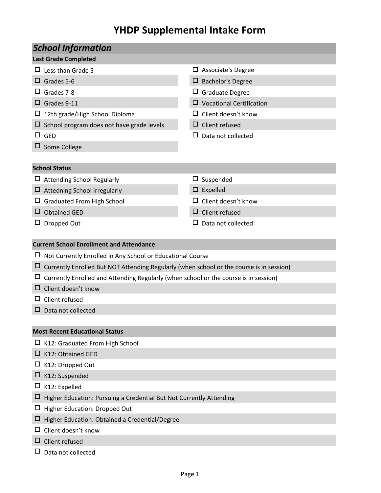# **YHDP Supplemental Intake Form**

| <b>School Information</b> |                                                                                          |        |                                 |  |  |  |  |  |
|---------------------------|------------------------------------------------------------------------------------------|--------|---------------------------------|--|--|--|--|--|
|                           | <b>Last Grade Completed</b>                                                              |        |                                 |  |  |  |  |  |
|                           | $\Box$ Less than Grade 5                                                                 |        | $\Box$ Associate's Degree       |  |  |  |  |  |
|                           | Grades 5-6                                                                               | ⊔      | <b>Bachelor's Degree</b>        |  |  |  |  |  |
|                           | Grades 7-8                                                                               |        | $\Box$ Graduate Degree          |  |  |  |  |  |
|                           | Grades 9-11                                                                              |        | $\Box$ Vocational Certification |  |  |  |  |  |
|                           | 12th grade/High School Diploma                                                           |        | $\Box$ Client doesn't know      |  |  |  |  |  |
|                           | $\Box$ School program does not have grade levels                                         |        | $\Box$ Client refused           |  |  |  |  |  |
|                           | $\Box$ GED                                                                               | ப      | Data not collected              |  |  |  |  |  |
|                           | Some College                                                                             |        |                                 |  |  |  |  |  |
|                           |                                                                                          |        |                                 |  |  |  |  |  |
|                           | <b>School Status</b>                                                                     |        |                                 |  |  |  |  |  |
|                           | $\Box$ Attending School Regularly                                                        | $\Box$ | Suspended                       |  |  |  |  |  |
|                           | Attedning School Irregularly                                                             | 0      | Expelled                        |  |  |  |  |  |
|                           | <b>Graduated From High School</b>                                                        |        | Client doesn't know             |  |  |  |  |  |
| ப                         | <b>Obtained GED</b>                                                                      |        | $\Box$ Client refused           |  |  |  |  |  |
| Ц                         | Dropped Out                                                                              | ப      | Data not collected              |  |  |  |  |  |
|                           |                                                                                          |        |                                 |  |  |  |  |  |
|                           | <b>Current School Enrollment and Attendance</b>                                          |        |                                 |  |  |  |  |  |
|                           | Not Currently Enrolled in Any School or Educational Course                               |        |                                 |  |  |  |  |  |
|                           | Currently Enrolled But NOT Attending Regularly (when school or the course is in session) |        |                                 |  |  |  |  |  |
|                           | Currently Enrolled and Attending Regularly (when school or the course is in session)     |        |                                 |  |  |  |  |  |
|                           | Client doesn't know                                                                      |        |                                 |  |  |  |  |  |
|                           | Client refused                                                                           |        |                                 |  |  |  |  |  |
|                           | Data not collected                                                                       |        |                                 |  |  |  |  |  |
|                           |                                                                                          |        |                                 |  |  |  |  |  |
|                           | <b>Most Recent Educational Status</b>                                                    |        |                                 |  |  |  |  |  |
| ப                         | K12: Graduated From High School                                                          |        |                                 |  |  |  |  |  |
| ப                         | K12: Obtained GED                                                                        |        |                                 |  |  |  |  |  |
|                           | K12: Dropped Out                                                                         |        |                                 |  |  |  |  |  |
| ப                         | K12: Suspended                                                                           |        |                                 |  |  |  |  |  |
| ப                         | K12: Expelled                                                                            |        |                                 |  |  |  |  |  |
|                           | Higher Education: Pursuing a Credential But Not Currently Attending                      |        |                                 |  |  |  |  |  |
| ப                         | Higher Education: Dropped Out                                                            |        |                                 |  |  |  |  |  |
| ப                         | Higher Education: Obtained a Credential/Degree                                           |        |                                 |  |  |  |  |  |
|                           | Client doesn't know                                                                      |        |                                 |  |  |  |  |  |
|                           | Client refused                                                                           |        |                                 |  |  |  |  |  |
|                           | Data not collected                                                                       |        |                                 |  |  |  |  |  |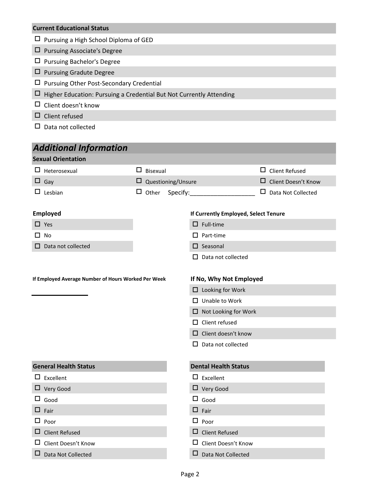### **Current Educational Status**

- $\square$  Pursuing a High School Diploma of GED
- Pursuing Associate's Degree
- Pursuing Bachelor's Degree
- Pursuing Gradute Degree
- Pursuing Other Post-Secondary Credential
- $\Box$  Higher Education: Pursuing a Credential But Not Currently Attending
- $\square$  Client doesn't know
- $\square$  Client refused
- $\square$  Data not collected

## *Additional Information*

### **Sexual Orientation**

| $\Box$ Heterosexual                                 | $\Box$ Bisexual |                                      |                             | $\Box$ Client Refused      |
|-----------------------------------------------------|-----------------|--------------------------------------|-----------------------------|----------------------------|
| $\Box$ Gay                                          |                 | $\square$ Questioning/Unsure         |                             | $\Box$ Client Doesn't Know |
| $\Box$ Lesbian                                      | $\Box$ Other    | Specify:                             |                             | $\Box$ Data Not Collected  |
| <b>Employed</b>                                     |                 | If Currently Employed, Select Tenure |                             |                            |
| $\Box$ Yes                                          |                 |                                      | $\Box$ Full-time            |                            |
| $\Box$ No                                           |                 |                                      | $\Box$ Part-time            |                            |
| $\Box$ Data not collected                           |                 |                                      | $\square$ Seasonal          |                            |
|                                                     |                 |                                      | $\Box$ Data not collected   |                            |
|                                                     |                 |                                      |                             |                            |
| If Employed Average Number of Hours Worked Per Week |                 |                                      | If No, Why Not Employed     |                            |
|                                                     |                 |                                      | $\Box$ Looking for Work     |                            |
|                                                     |                 |                                      | $\Box$ Unable to Work       |                            |
|                                                     |                 |                                      | $\Box$ Not Looking for Work |                            |
|                                                     |                 |                                      | $\Box$ Client refused       |                            |
|                                                     |                 |                                      | $\Box$ Client doesn't know  |                            |
|                                                     |                 |                                      | $\Box$ Data not collected   |                            |
|                                                     |                 |                                      |                             |                            |
| <b>General Health Status</b>                        |                 |                                      | <b>Dental Health Status</b> |                            |
| $\Box$ Excellent                                    |                 |                                      | $\Box$ Excellent            |                            |
| $\Box$ Very Good                                    |                 |                                      | $\Box$ Very Good            |                            |
| $\Box$ Good                                         |                 |                                      | $\Box$ Good                 |                            |
| $\Box$ Fair                                         |                 |                                      | $\Box$ Fair                 |                            |
| $\Box$ Poor                                         |                 |                                      | $\Box$ Poor                 |                            |
| $\Box$ Client Refused                               |                 |                                      | $\Box$ Client Refused       |                            |
| $\Box$ Client Doesn't Know                          |                 |                                      | $\Box$ Client Doesn't Know  |                            |

 $\square$  Data Not Collected  $\square$  Data Not Collected

#### Page 2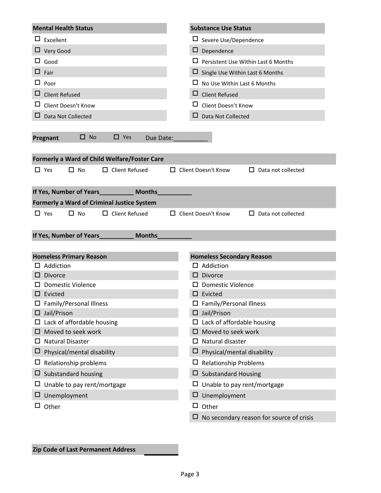| <b>Mental Health Status</b>                         | <b>Substance Use Status</b>                             |
|-----------------------------------------------------|---------------------------------------------------------|
| ப<br>Excellent                                      | ப<br>Severe Use/Dependence                              |
| ⊔<br>Very Good                                      | $\Box$ Dependence                                       |
| ப<br>Good                                           | □<br>Persistent Use Within Last 6 Months                |
| ப<br>Fair                                           | □<br>Single Use Within Last 6 Months                    |
| ப<br>Poor                                           | □<br>No Use Within Last 6 Months                        |
| <b>Client Refused</b><br>ப                          | ⊔<br><b>Client Refused</b>                              |
| ப<br>Client Doesn't Know                            | ப<br>Client Doesn't Know                                |
| ப<br>Data Not Collected                             | ப<br>Data Not Collected                                 |
|                                                     |                                                         |
| $\square$ No<br>$\Box$ Yes<br>Pregnant<br>Due Date: |                                                         |
|                                                     |                                                         |
| Formerly a Ward of Child Welfare/Foster Care        |                                                         |
| $\Box$ No<br>$\Box$ Client Refused<br>$\Box$ Yes    | $\Box$ Client Doesn't Know<br>$\Box$ Data not collected |
|                                                     |                                                         |
| If Yes, Number of Years____________ Months_         |                                                         |
| <b>Formerly a Ward of Criminal Justice System</b>   |                                                         |
| $\Box$ No<br>$\Box$ Client Refused<br>□ Yes         | □ Client Doesn't Know<br>$\Box$ Data not collected      |
|                                                     |                                                         |
|                                                     |                                                         |
| <b>Months</b><br>If Yes, Number of Years_           |                                                         |
|                                                     |                                                         |
| <b>Homeless Primary Reason</b>                      | <b>Homeless Secondary Reason</b>                        |
| Addiction                                           | $\Box$ Addiction                                        |
| <b>Divorce</b>                                      | <b>Divorce</b><br>□                                     |
| <b>Domestic Violence</b>                            | <b>Domestic Violence</b>                                |
| Evicted                                             | $\square$ Evicted                                       |
| $\Box$ Family/Personal Illness                      | $\Box$ Family/Personal Illness                          |
| $\Box$ Jail/Prison                                  | $\Box$ Jail/Prison                                      |
| Lack of affordable housing                          | Lack of affordable housing                              |
| Moved to seek work                                  | Moved to seek work<br>□                                 |
| <b>Natural Disaster</b><br>ப                        | $\Box$ Natural disaster                                 |
| Physical/mental disability<br>Ц                     | □<br>Physical/mental disability                         |
| Relationship problems<br>ப                          | $\Box$ Relationship Problems                            |
| Substandard housing<br>ப                            | <b>Substandard Housing</b><br>Ц.                        |
| Unable to pay rent/mortgage<br>ப                    | Unable to pay rent/mortgage<br>ப                        |
| Unemployment<br>ப                                   | $\Box$<br>Unemployment                                  |
| Other<br>ப                                          | $\Box$<br>Other                                         |